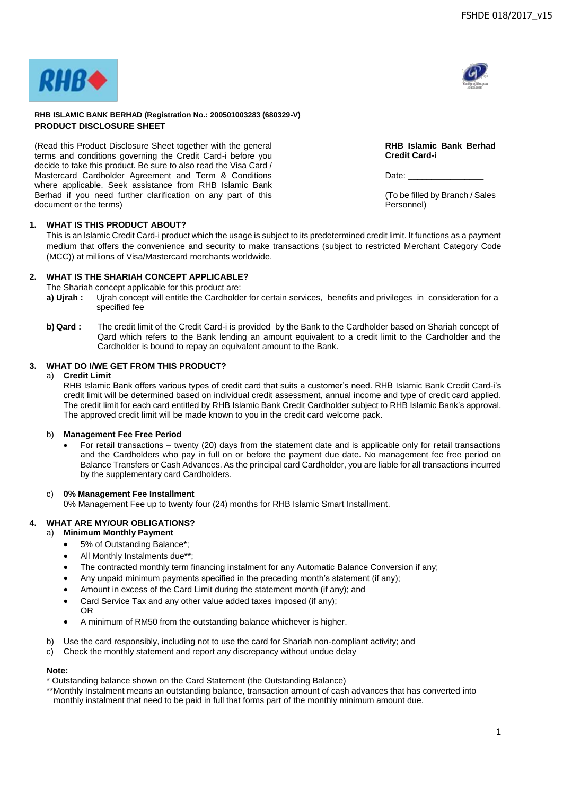

### **RHB ISLAMIC BANK BERHAD (Registration No.: 200501003283 (680329-V) PRODUCT DISCLOSURE SHEET**

(Read this Product Disclosure Sheet together with the general terms and conditions governing the Credit Card-i before you decide to take this product. Be sure to also read the Visa Card / Mastercard Cardholder Agreement and Term & Conditions where applicable. Seek assistance from RHB Islamic Bank Berhad if you need further clarification on any part of this document or the terms)

**RHB Islamic Bank Berhad Credit Card-i**

Date:

(To be filled by Branch / Sales Personnel)

# **1. WHAT IS THIS PRODUCT ABOUT?**

This is an Islamic Credit Card-i product which the usage is subject to its predetermined credit limit. It functions as a payment medium that offers the convenience and security to make transactions (subject to restricted Merchant Category Code (MCC)) at millions of Visa/Mastercard merchants worldwide.

# **2. WHAT IS THE SHARIAH CONCEPT APPLICABLE?**

The Shariah concept applicable for this product are:

- **a) Ujrah :** Ujrah concept will entitle the Cardholder for certain services, benefits and privileges in consideration for a specified fee
- **b) Qard :** The credit limit of the Credit Card-i is provided by the Bank to the Cardholder based on Shariah concept of Qard which refers to the Bank lending an amount equivalent to a credit limit to the Cardholder and the Cardholder is bound to repay an equivalent amount to the Bank.

# **3. WHAT DO I/WE GET FROM THIS PRODUCT?**

### a) **Credit Limit**

RHB Islamic Bank offers various types of credit card that suits a customer's need. RHB Islamic Bank Credit Card-i's credit limit will be determined based on individual credit assessment, annual income and type of credit card applied. The credit limit for each card entitled by RHB Islamic Bank Credit Cardholder subject to RHB Islamic Bank's approval. The approved credit limit will be made known to you in the credit card welcome pack.

# b) **Management Fee Free Period**

 For retail transactions – twenty (20) days from the statement date and is applicable only for retail transactions and the Cardholders who pay in full on or before the payment due date**.** No management fee free period on Balance Transfers or Cash Advances. As the principal card Cardholder, you are liable for all transactions incurred by the supplementary card Cardholders.

# c) **0% Management Fee Installment**

0% Management Fee up to twenty four (24) months for RHB Islamic Smart Installment.

# **4. WHAT ARE MY/OUR OBLIGATIONS?**

# a) **Minimum Monthly Payment**

- 5% of Outstanding Balance\*;
- All Monthly Instalments due\*\*;
- The contracted monthly term financing instalment for any Automatic Balance Conversion if any;
- Any unpaid minimum payments specified in the preceding month's statement (if any);
- Amount in excess of the Card Limit during the statement month (if any); and
- Card Service Tax and any other value added taxes imposed (if any);
- A minimum of RM50 from the outstanding balance whichever is higher.
- b) Use the card responsibly, including not to use the card for Shariah non-compliant activity; and
- c) Check the monthly statement and report any discrepancy without undue delay

### **Note:**

OR

\* Outstanding balance shown on the Card Statement (the Outstanding Balance)

\*\*Monthly Instalment means an outstanding balance, transaction amount of cash advances that has converted into monthly instalment that need to be paid in full that forms part of the monthly minimum amount due.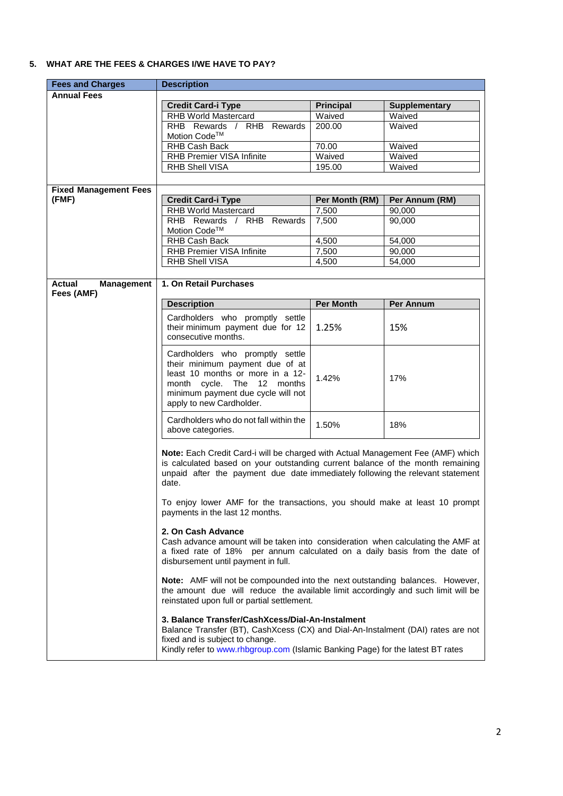# **5. WHAT ARE THE FEES & CHARGES I/WE HAVE TO PAY?**

| <b>Fees and Charges</b>                          | <b>Description</b>                                                                                                                                                                                                                                           |                  |                      |
|--------------------------------------------------|--------------------------------------------------------------------------------------------------------------------------------------------------------------------------------------------------------------------------------------------------------------|------------------|----------------------|
| <b>Annual Fees</b>                               |                                                                                                                                                                                                                                                              |                  |                      |
|                                                  | <b>Credit Card-i Type</b>                                                                                                                                                                                                                                    | Principal        | <b>Supplementary</b> |
|                                                  | <b>RHB</b> World Mastercard                                                                                                                                                                                                                                  | Waived           | Waived               |
|                                                  | RHB Rewards / RHB Rewards<br>Motion Code™                                                                                                                                                                                                                    | 200.00           | Waived               |
|                                                  | <b>RHB Cash Back</b>                                                                                                                                                                                                                                         | 70.00            | Waived               |
|                                                  | RHB Premier VISA Infinite                                                                                                                                                                                                                                    | Waived           | Waived               |
|                                                  | RHB Shell VISA                                                                                                                                                                                                                                               | 195.00           | Waived               |
|                                                  |                                                                                                                                                                                                                                                              |                  |                      |
| <b>Fixed Management Fees</b>                     |                                                                                                                                                                                                                                                              |                  |                      |
| (FMF)                                            | <b>Credit Card-i Type</b>                                                                                                                                                                                                                                    | Per Month (RM)   | Per Annum (RM)       |
|                                                  | <b>RHB World Mastercard</b>                                                                                                                                                                                                                                  | 7,500            | 90,000               |
|                                                  | RHB Rewards / RHB Rewards<br>Motion Code <sup>™</sup>                                                                                                                                                                                                        | 7,500            | 90,000               |
|                                                  | RHB Cash Back                                                                                                                                                                                                                                                | 4,500            | 54,000               |
|                                                  | RHB Premier VISA Infinite                                                                                                                                                                                                                                    | 7,500            | 90,000               |
|                                                  | RHB Shell VISA                                                                                                                                                                                                                                               | 4,500            | 54,000               |
|                                                  |                                                                                                                                                                                                                                                              |                  |                      |
| <b>Actual</b><br><b>Management</b><br>Fees (AMF) | 1. On Retail Purchases                                                                                                                                                                                                                                       |                  |                      |
|                                                  | <b>Description</b>                                                                                                                                                                                                                                           | <b>Per Month</b> | Per Annum            |
|                                                  | Cardholders who promptly settle                                                                                                                                                                                                                              |                  |                      |
|                                                  | their minimum payment due for 12<br>consecutive months.                                                                                                                                                                                                      | 1.25%            | 15%                  |
|                                                  | Cardholders who promptly settle<br>their minimum payment due of at<br>least 10 months or more in a 12-<br>month cycle. The 12 months<br>minimum payment due cycle will not<br>apply to new Cardholder.                                                       | 1.42%            | 17%                  |
|                                                  | Cardholders who do not fall within the<br>above categories.                                                                                                                                                                                                  | 1.50%            | 18%                  |
|                                                  | Note: Each Credit Card-i will be charged with Actual Management Fee (AMF) which<br>is calculated based on your outstanding current balance of the month remaining<br>unpaid after the payment due date immediately following the relevant statement<br>date. |                  |                      |
|                                                  | To enjoy lower AMF for the transactions, you should make at least 10 prompt<br>payments in the last 12 months.                                                                                                                                               |                  |                      |
|                                                  | 2. On Cash Advance<br>Cash advance amount will be taken into consideration when calculating the AMF at<br>a fixed rate of 18% per annum calculated on a daily basis from the date of<br>disbursement until payment in full.                                  |                  |                      |
|                                                  | <b>Note:</b> AMF will not be compounded into the next outstanding balances. However,<br>the amount due will reduce the available limit accordingly and such limit will be<br>reinstated upon full or partial settlement.                                     |                  |                      |
|                                                  | 3. Balance Transfer/CashXcess/Dial-An-Instalment<br>Balance Transfer (BT), CashXcess (CX) and Dial-An-Instalment (DAI) rates are not<br>fixed and is subject to change.<br>Kindly refer to www.rhbgroup.com (Islamic Banking Page) for the latest BT rates   |                  |                      |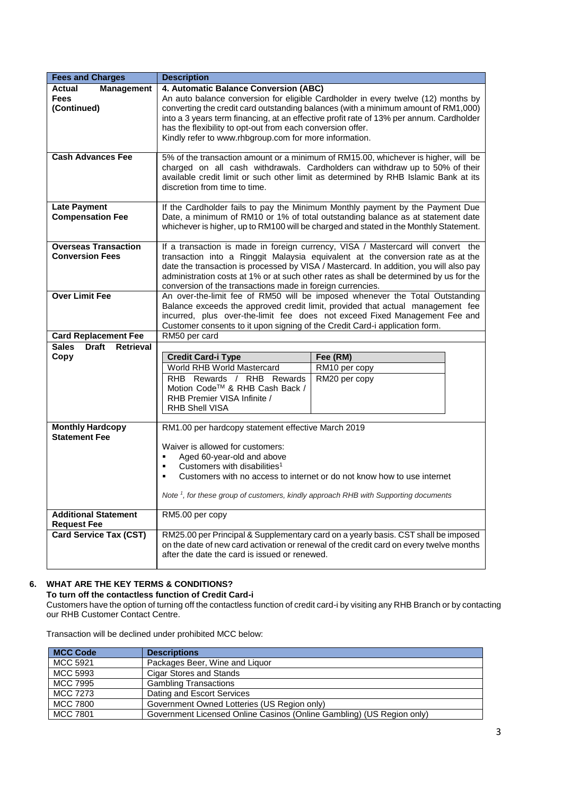| <b>Fees and Charges</b>                               | <b>Description</b>                                                                                                                                                                                                                                                                                                                                                                                                    |                                                                                         |  |
|-------------------------------------------------------|-----------------------------------------------------------------------------------------------------------------------------------------------------------------------------------------------------------------------------------------------------------------------------------------------------------------------------------------------------------------------------------------------------------------------|-----------------------------------------------------------------------------------------|--|
| <b>Management</b><br>Actual                           | 4. Automatic Balance Conversion (ABC)                                                                                                                                                                                                                                                                                                                                                                                 |                                                                                         |  |
| <b>Fees</b><br>(Continued)                            | An auto balance conversion for eligible Cardholder in every twelve (12) months by<br>converting the credit card outstanding balances (with a minimum amount of RM1,000)<br>into a 3 years term financing, at an effective profit rate of 13% per annum. Cardholder                                                                                                                                                    |                                                                                         |  |
|                                                       | has the flexibility to opt-out from each conversion offer.<br>Kindly refer to www.rhbgroup.com for more information.                                                                                                                                                                                                                                                                                                  |                                                                                         |  |
| <b>Cash Advances Fee</b>                              | 5% of the transaction amount or a minimum of RM15.00, whichever is higher, will be<br>charged on all cash withdrawals. Cardholders can withdraw up to 50% of their<br>available credit limit or such other limit as determined by RHB Islamic Bank at its<br>discretion from time to time.                                                                                                                            |                                                                                         |  |
| <b>Late Payment</b><br><b>Compensation Fee</b>        | If the Cardholder fails to pay the Minimum Monthly payment by the Payment Due<br>Date, a minimum of RM10 or 1% of total outstanding balance as at statement date<br>whichever is higher, up to RM100 will be charged and stated in the Monthly Statement.                                                                                                                                                             |                                                                                         |  |
| <b>Overseas Transaction</b><br><b>Conversion Fees</b> | If a transaction is made in foreign currency, VISA / Mastercard will convert the<br>transaction into a Ringgit Malaysia equivalent at the conversion rate as at the<br>date the transaction is processed by VISA / Mastercard. In addition, you will also pay<br>administration costs at 1% or at such other rates as shall be determined by us for the<br>conversion of the transactions made in foreign currencies. |                                                                                         |  |
| <b>Over Limit Fee</b>                                 | An over-the-limit fee of RM50 will be imposed whenever the Total Outstanding                                                                                                                                                                                                                                                                                                                                          |                                                                                         |  |
|                                                       |                                                                                                                                                                                                                                                                                                                                                                                                                       | Balance exceeds the approved credit limit, provided that actual management fee          |  |
|                                                       |                                                                                                                                                                                                                                                                                                                                                                                                                       | incurred, plus over-the-limit fee does not exceed Fixed Management Fee and              |  |
|                                                       | Customer consents to it upon signing of the Credit Card-i application form.                                                                                                                                                                                                                                                                                                                                           |                                                                                         |  |
| <b>Card Replacement Fee</b>                           | RM50 per card                                                                                                                                                                                                                                                                                                                                                                                                         |                                                                                         |  |
| <b>Sales</b><br><b>Draft</b><br><b>Retrieval</b>      |                                                                                                                                                                                                                                                                                                                                                                                                                       |                                                                                         |  |
| Copy                                                  | <b>Credit Card-i Type</b>                                                                                                                                                                                                                                                                                                                                                                                             | Fee (RM)                                                                                |  |
|                                                       | <b>World RHB World Mastercard</b>                                                                                                                                                                                                                                                                                                                                                                                     | RM10 per copy                                                                           |  |
|                                                       | RHB Rewards / RHB Rewards<br>Motion Code™ & RHB Cash Back /                                                                                                                                                                                                                                                                                                                                                           | RM20 per copy                                                                           |  |
|                                                       | RHB Premier VISA Infinite /                                                                                                                                                                                                                                                                                                                                                                                           |                                                                                         |  |
|                                                       | <b>RHB Shell VISA</b>                                                                                                                                                                                                                                                                                                                                                                                                 |                                                                                         |  |
|                                                       |                                                                                                                                                                                                                                                                                                                                                                                                                       |                                                                                         |  |
| <b>Monthly Hardcopy</b><br><b>Statement Fee</b>       | RM1.00 per hardcopy statement effective March 2019                                                                                                                                                                                                                                                                                                                                                                    |                                                                                         |  |
|                                                       | Waiver is allowed for customers:<br>Aged 60-year-old and above                                                                                                                                                                                                                                                                                                                                                        |                                                                                         |  |
|                                                       | Customers with disabilities <sup>1</sup><br>$\blacksquare$                                                                                                                                                                                                                                                                                                                                                            |                                                                                         |  |
|                                                       | ٠                                                                                                                                                                                                                                                                                                                                                                                                                     | Customers with no access to internet or do not know how to use internet                 |  |
|                                                       | Note <sup>1</sup> , for these group of customers, kindly approach RHB with Supporting documents                                                                                                                                                                                                                                                                                                                       |                                                                                         |  |
| <b>Additional Statement</b><br><b>Request Fee</b>     | RM5.00 per copy                                                                                                                                                                                                                                                                                                                                                                                                       |                                                                                         |  |
| <b>Card Service Tax (CST)</b>                         | RM25.00 per Principal & Supplementary card on a yearly basis. CST shall be imposed                                                                                                                                                                                                                                                                                                                                    |                                                                                         |  |
|                                                       | after the date the card is issued or renewed.                                                                                                                                                                                                                                                                                                                                                                         | on the date of new card activation or renewal of the credit card on every twelve months |  |

# **6. WHAT ARE THE KEY TERMS & CONDITIONS?**

# **To turn off the contactless function of Credit Card-i**

Customers have the option of turning off the contactless function of credit card-i by visiting any RHB Branch or by contacting our RHB Customer Contact Centre.

| Transaction will be declined under prohibited MCC below: |  |
|----------------------------------------------------------|--|
|----------------------------------------------------------|--|

| <b>MCC Code</b> | <b>Descriptions</b>                                                   |
|-----------------|-----------------------------------------------------------------------|
| MCC 5921        | Packages Beer, Wine and Liquor                                        |
| MCC 5993        | Cigar Stores and Stands                                               |
| MCC 7995        | <b>Gambling Transactions</b>                                          |
| MCC 7273        | Dating and Escort Services                                            |
| <b>MCC 7800</b> | Government Owned Lotteries (US Region only)                           |
| MCC 7801        | Government Licensed Online Casinos (Online Gambling) (US Region only) |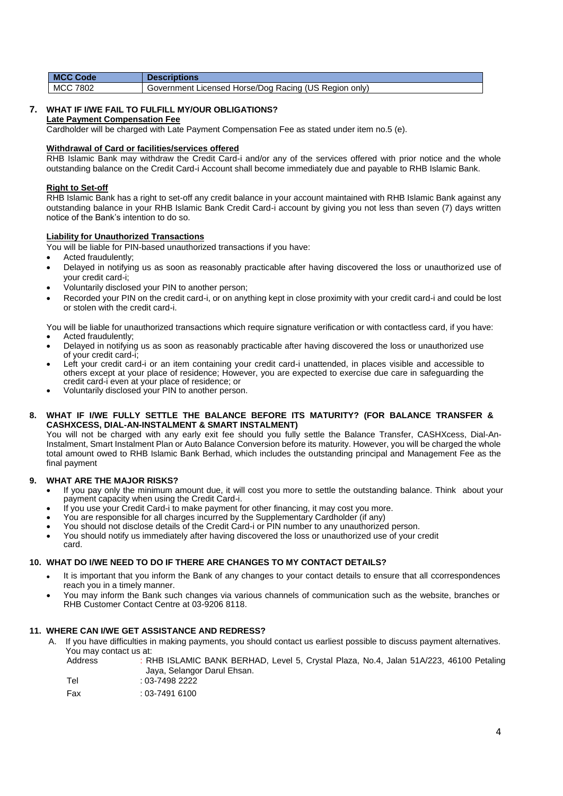| <b>MCC Code</b> | <b>Descriptions</b>                                   |
|-----------------|-------------------------------------------------------|
| MCC 7802        | Government Licensed Horse/Dog Racing (US Region only) |

### **7. WHAT IF I/WE FAIL TO FULFILL MY/OUR OBLIGATIONS? Late Payment Compensation Fee**

Cardholder will be charged with Late Payment Compensation Fee as stated under item no.5 (e).

### **Withdrawal of Card or facilities/services offered**

RHB Islamic Bank may withdraw the Credit Card-i and/or any of the services offered with prior notice and the whole outstanding balance on the Credit Card-i Account shall become immediately due and payable to RHB Islamic Bank.

### **Right to Set-off**

RHB Islamic Bank has a right to set-off any credit balance in your account maintained with RHB Islamic Bank against any outstanding balance in your RHB Islamic Bank Credit Card-i account by giving you not less than seven (7) days written notice of the Bank's intention to do so.

# **Liability for Unauthorized Transactions**

You will be liable for PIN-based unauthorized transactions if you have:

- Acted fraudulently;
- Delayed in notifying us as soon as reasonably practicable after having discovered the loss or unauthorized use of your credit card-i;
- Voluntarily disclosed your PIN to another person;
- Recorded your PIN on the credit card-i, or on anything kept in close proximity with your credit card-i and could be lost or stolen with the credit card-i.

You will be liable for unauthorized transactions which require signature verification or with contactless card, if you have:

- Acted fraudulently;
- Delayed in notifying us as soon as reasonably practicable after having discovered the loss or unauthorized use of your credit card-i;
- Left your credit card-i or an item containing your credit card-i unattended, in places visible and accessible to others except at your place of residence; However, you are expected to exercise due care in safeguarding the credit card-i even at your place of residence; or
- Voluntarily disclosed your PIN to another person.

### **8. WHAT IF I/WE FULLY SETTLE THE BALANCE BEFORE ITS MATURITY? (FOR BALANCE TRANSFER & CASHXCESS, DIAL-AN-INSTALMENT & SMART INSTALMENT)**

You will not be charged with any early exit fee should you fully settle the Balance Transfer, CASHXcess, Dial-An-Instalment, Smart Instalment Plan or Auto Balance Conversion before its maturity. However, you will be charged the whole total amount owed to RHB Islamic Bank Berhad, which includes the outstanding principal and Management Fee as the final payment

### **9. WHAT ARE THE MAJOR RISKS?**

- If you pay only the minimum amount due, it will cost you more to settle the outstanding balance. Think about your payment capacity when using the Credit Card-i.
- If you use your Credit Card-i to make payment for other financing, it may cost you more.
- You are responsible for all charges incurred by the Supplementary Cardholder (if any)
- You should not disclose details of the Credit Card-i or PIN number to any unauthorized person.
- You should notify us immediately after having discovered the loss or unauthorized use of your credit card.

### **10. WHAT DO I/WE NEED TO DO IF THERE ARE CHANGES TO MY CONTACT DETAILS?**

- It is important that you inform the Bank of any changes to your contact details to ensure that all ccorrespondences reach you in a timely manner.
- You may inform the Bank such changes via various channels of communication such as the website, branches or RHB Customer Contact Centre at 03-9206 8118.

### **11. WHERE CAN I/WE GET ASSISTANCE AND REDRESS?**

- A. If you have difficulties in making payments, you should contact us earliest possible to discuss payment alternatives. You may contact us at:
	- Address : RHB ISLAMIC BANK BERHAD, Level 5, Crystal Plaza, No.4, Jalan 51A/223, 46100 Petaling Jaya, Selangor Darul Ehsan.

Tel : 03-7498 2222

Fax : 03-7491 6100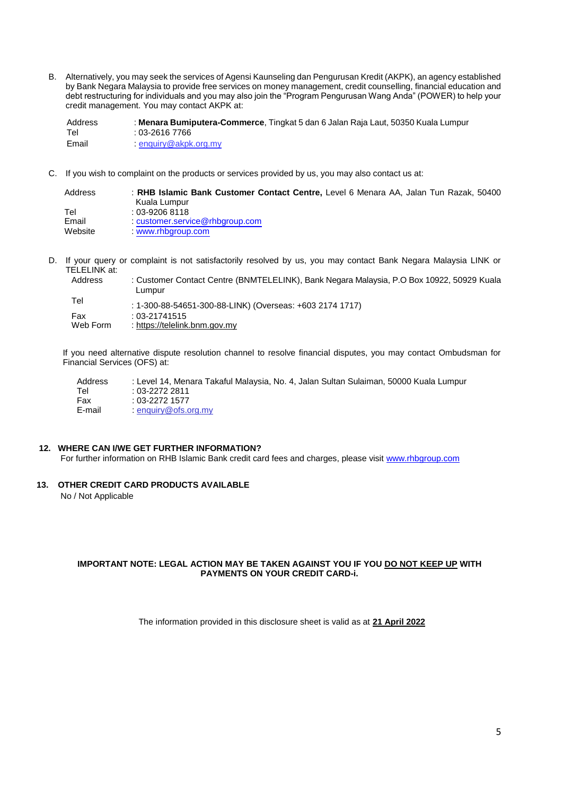B. Alternatively, you may seek the services of Agensi Kaunseling dan Pengurusan Kredit (AKPK), an agency established by Bank Negara Malaysia to provide free services on money management, credit counselling, financial education and debt restructuring for individuals and you may also join the "Program Pengurusan Wang Anda" (POWER) to help your credit management. You may contact AKPK at:

Address : **Menara Bumiputera-Commerce**, Tingkat 5 dan 6 Jalan Raja Laut, 50350 Kuala Lumpur Tel : 03-2616 7766 Email : [enquiry@akpk.org.my](mailto:enquiry@akpk.org.my)

C. If you wish to complaint on the products or services provided by us, you may also contact us at:

| Address | : RHB Islamic Bank Customer Contact Centre. Level 6 Menara AA. Jalan Tun Razak. 50400 |
|---------|---------------------------------------------------------------------------------------|
|         | Kuala Lumpur                                                                          |
| Tel     | $: 03 - 92068118$                                                                     |
| Email   | $\therefore$ customer.service@rhbgroup.com                                            |
| Website | www.rhbgroup.com                                                                      |

D. If your query or complaint is not satisfactorily resolved by us, you may contact Bank Negara Malaysia LINK or TELELINK at: Address : Customer Contact Centre (BNMTELELINK), Bank Negara Malaysia, P.O Box 10922, 50929 Kuala

| Address  | : Customer Contact Centre (BNMTELELINK), Bank Negara Malaysia, P.O Box 10922, 50929 Kuali |
|----------|-------------------------------------------------------------------------------------------|
|          | Lumpur                                                                                    |
| Tel      | : 1-300-88-54651-300-88-LINK) (Overseas: +603 2174 1717)                                  |
| Fax      | $: 03 - 21741515$                                                                         |
| Web Form | : https://telelink.bnm.gov.my                                                             |

If you need alternative dispute resolution channel to resolve financial disputes, you may contact Ombudsman for Financial Services (OFS) at:

| Address | : Level 14, Menara Takaful Malaysia, No. 4, Jalan Sultan Sulaiman, 50000 Kuala Lumpur |
|---------|---------------------------------------------------------------------------------------|
| Tel     | $: 03 - 22722811$                                                                     |
| Fax     | $: 03 - 2272$ 1577                                                                    |
| E-mail  | enquiry@ofs.org.my                                                                    |

### **12. WHERE CAN I/WE GET FURTHER INFORMATION?**

For further information on RHB Islamic Bank credit card fees and charges, please visit [www.rhbgroup.com](http://www.rhbgroup.com/)

#### **13. OTHER CREDIT CARD PRODUCTS AVAILABLE**

No / Not Applicable

### **IMPORTANT NOTE: LEGAL ACTION MAY BE TAKEN AGAINST YOU IF YOU DO NOT KEEP UP WITH PAYMENTS ON YOUR CREDIT CARD-i.**

The information provided in this disclosure sheet is valid as at **21 April 2022**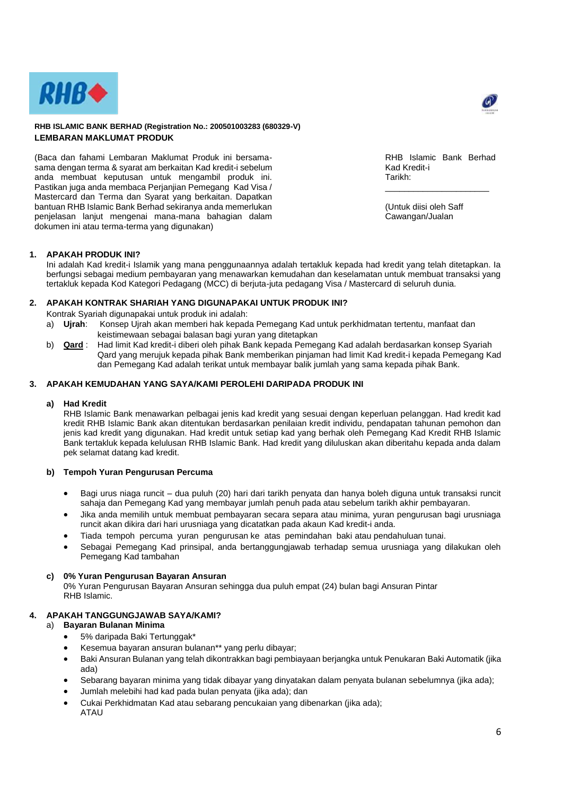

### **RHB ISLAMIC BANK BERHAD (Registration No.: 200501003283 (680329-V) LEMBARAN MAKLUMAT PRODUK**

(Baca dan fahami Lembaran Maklumat Produk ini bersamasama dengan terma & syarat am berkaitan Kad kredit-i sebelum anda membuat keputusan untuk mengambil produk ini. Pastikan juga anda membaca Perjanjian Pemegang Kad Visa / Mastercard dan Terma dan Syarat yang berkaitan. Dapatkan bantuan RHB Islamic Bank Berhad sekiranya anda memerlukan penjelasan lanjut mengenai mana-mana bahagian dalam dokumen ini atau terma-terma yang digunakan)

RHB Islamic Bank Berhad Kad Kredit-i Tarikh:

\_\_\_\_\_\_\_\_\_\_\_\_\_\_\_\_\_\_\_\_\_\_

(Untuk diisi oleh Saff Cawangan/Jualan

### **1. APAKAH PRODUK INI?**

Ini adalah Kad kredit-i Islamik yang mana penggunaannya adalah tertakluk kepada had kredit yang telah ditetapkan. Ia berfungsi sebagai medium pembayaran yang menawarkan kemudahan dan keselamatan untuk membuat transaksi yang tertakluk kepada Kod Kategori Pedagang (MCC) di berjuta-juta pedagang Visa / Mastercard di seluruh dunia.

# **2. APAKAH KONTRAK SHARIAH YANG DIGUNAPAKAI UNTUK PRODUK INI?**

Kontrak Syariah digunapakai untuk produk ini adalah:

- a) **Ujrah**: Konsep Ujrah akan memberi hak kepada Pemegang Kad untuk perkhidmatan tertentu, manfaat dan keistimewaan sebagai balasan bagi yuran yang ditetapkan
- b) **Qard** : Had limit Kad kredit-i diberi oleh pihak Bank kepada Pemegang Kad adalah berdasarkan konsep Syariah Qard yang merujuk kepada pihak Bank memberikan pinjaman had limit Kad kredit-i kepada Pemegang Kad dan Pemegang Kad adalah terikat untuk membayar balik jumlah yang sama kepada pihak Bank.

# **3. APAKAH KEMUDAHAN YANG SAYA/KAMI PEROLEHI DARIPADA PRODUK INI**

### **a) Had Kredit**

RHB Islamic Bank menawarkan pelbagai jenis kad kredit yang sesuai dengan keperluan pelanggan. Had kredit kad kredit RHB Islamic Bank akan ditentukan berdasarkan penilaian kredit individu, pendapatan tahunan pemohon dan jenis kad kredit yang digunakan. Had kredit untuk setiap kad yang berhak oleh Pemegang Kad Kredit RHB Islamic Bank tertakluk kepada kelulusan RHB Islamic Bank. Had kredit yang diluluskan akan diberitahu kepada anda dalam pek selamat datang kad kredit.

### **b) Tempoh Yuran Pengurusan Percuma**

- Bagi urus niaga runcit dua puluh (20) hari dari tarikh penyata dan hanya boleh diguna untuk transaksi runcit sahaja dan Pemegang Kad yang membayar jumlah penuh pada atau sebelum tarikh akhir pembayaran.
- Jika anda memilih untuk membuat pembayaran secara separa atau minima, yuran pengurusan bagi urusniaga runcit akan dikira dari hari urusniaga yang dicatatkan pada akaun Kad kredit-i anda.
- Tiada tempoh percuma yuran pengurusan ke atas pemindahan baki atau pendahuluan tunai.
- Sebagai Pemegang Kad prinsipal, anda bertanggungjawab terhadap semua urusniaga yang dilakukan oleh Pemegang Kad tambahan

### **c) 0% Yuran Pengurusan Bayaran Ansuran**

0% Yuran Pengurusan Bayaran Ansuran sehingga dua puluh empat (24) bulan bagi Ansuran Pintar RHB Islamic.

# **4. APAKAH TANGGUNGJAWAB SAYA/KAMI?**

### a) **Bayaran Bulanan Minima**

- 5% daripada Baki Tertunggak\*
- Kesemua bayaran ansuran bulanan\*\* yang perlu dibayar;
- Baki Ansuran Bulanan yang telah dikontrakkan bagi pembiayaan berjangka untuk Penukaran Baki Automatik (jika ada)
- Sebarang bayaran minima yang tidak dibayar yang dinyatakan dalam penyata bulanan sebelumnya (jika ada);
- Jumlah melebihi had kad pada bulan penyata (jika ada); dan
- Cukai Perkhidmatan Kad atau sebarang pencukaian yang dibenarkan (jika ada); ATAU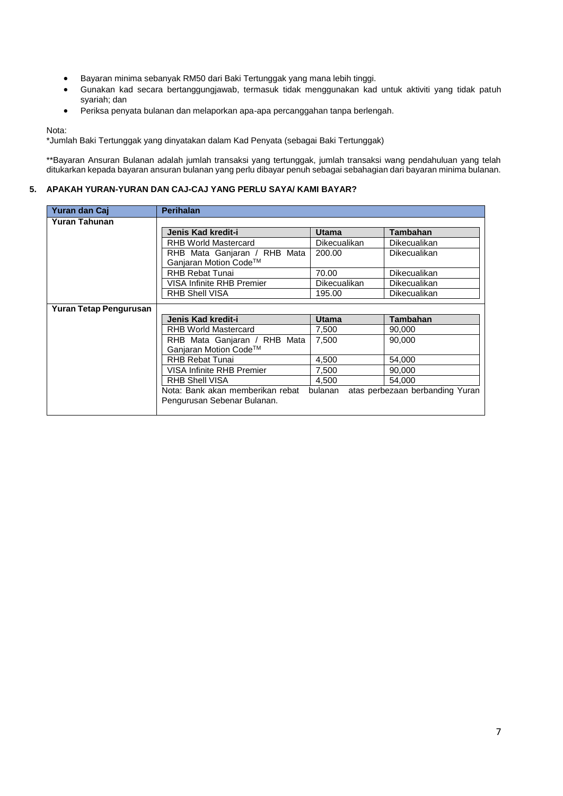- Bayaran minima sebanyak RM50 dari Baki Tertunggak yang mana lebih tinggi.
- Gunakan kad secara bertanggungjawab, termasuk tidak menggunakan kad untuk aktiviti yang tidak patuh syariah; dan
- Periksa penyata bulanan dan melaporkan apa-apa percanggahan tanpa berlengah.

### Nota:

\*Jumlah Baki Tertunggak yang dinyatakan dalam Kad Penyata (sebagai Baki Tertunggak)

\*\*Bayaran Ansuran Bulanan adalah jumlah transaksi yang tertunggak, jumlah transaksi wang pendahuluan yang telah ditukarkan kepada bayaran ansuran bulanan yang perlu dibayar penuh sebagai sebahagian dari bayaran minima bulanan.

### **5. APAKAH YURAN-YURAN DAN CAJ-CAJ YANG PERLU SAYA/ KAMI BAYAR?**

| Yuran dan Caj          | <b>Perihalan</b>                 |                     |                                 |
|------------------------|----------------------------------|---------------------|---------------------------------|
| Yuran Tahunan          |                                  |                     |                                 |
|                        | Jenis Kad kredit-i               | Utama               | <b>Tambahan</b>                 |
|                        | <b>RHB World Mastercard</b>      | Dikecualikan        | <b>Dikecualikan</b>             |
|                        | RHB Mata Ganjaran / RHB Mata     | 200.00              | <b>Dikecualikan</b>             |
|                        | Ganjaran Motion Code™            |                     |                                 |
|                        | <b>RHB Rebat Tunai</b>           | 70.00               | <b>Dikecualikan</b>             |
|                        | VISA Infinite RHB Premier        | <b>Dikecualikan</b> | <b>Dikecualikan</b>             |
|                        | <b>RHB Shell VISA</b>            | 195.00              | <b>Dikecualikan</b>             |
| Yuran Tetap Pengurusan |                                  |                     |                                 |
|                        | Jenis Kad kredit-i               | Utama               | <b>Tambahan</b>                 |
|                        | RHB World Mastercard             | 7,500               | 90.000                          |
|                        | RHB Mata Ganjaran / RHB Mata     | 7,500               | 90.000                          |
|                        | Ganjaran Motion Code™            |                     |                                 |
|                        | RHB Rebat Tunai                  | 4,500               | 54,000                          |
|                        | VISA Infinite RHB Premier        | 7,500               | 90,000                          |
|                        | <b>RHB Shell VISA</b>            | 4,500               | 54,000                          |
|                        | Nota: Bank akan memberikan rebat | bulanan             | atas perbezaan berbanding Yuran |
|                        | Pengurusan Sebenar Bulanan.      |                     |                                 |
|                        |                                  |                     |                                 |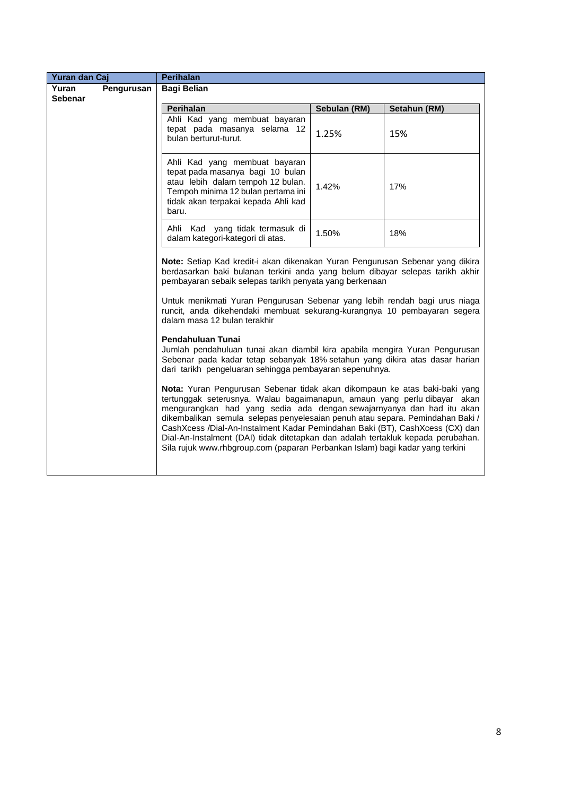| Yuran dan Caj  |            | <b>Perihalan</b>                                                                                                                                                                                                                                                                                                                                                                                                                                                                                                                                                      |              |              |
|----------------|------------|-----------------------------------------------------------------------------------------------------------------------------------------------------------------------------------------------------------------------------------------------------------------------------------------------------------------------------------------------------------------------------------------------------------------------------------------------------------------------------------------------------------------------------------------------------------------------|--------------|--------------|
| Yuran          | Pengurusan | <b>Bagi Belian</b>                                                                                                                                                                                                                                                                                                                                                                                                                                                                                                                                                    |              |              |
| <b>Sebenar</b> |            |                                                                                                                                                                                                                                                                                                                                                                                                                                                                                                                                                                       |              |              |
|                |            | <b>Perihalan</b>                                                                                                                                                                                                                                                                                                                                                                                                                                                                                                                                                      | Sebulan (RM) | Setahun (RM) |
|                |            | Ahli Kad yang membuat bayaran<br>tepat pada masanya selama 12<br>bulan berturut-turut.                                                                                                                                                                                                                                                                                                                                                                                                                                                                                | 1.25%        | 15%          |
|                |            | Ahli Kad yang membuat bayaran<br>tepat pada masanya bagi 10 bulan<br>atau lebih dalam tempoh 12 bulan.<br>Tempoh minima 12 bulan pertama ini<br>tidak akan terpakai kepada Ahli kad<br>baru.                                                                                                                                                                                                                                                                                                                                                                          | 1.42%        | 17%          |
|                |            | Ahli Kad yang tidak termasuk di<br>dalam kategori-kategori di atas.                                                                                                                                                                                                                                                                                                                                                                                                                                                                                                   | 1.50%        | 18%          |
|                |            | Note: Setiap Kad kredit-i akan dikenakan Yuran Pengurusan Sebenar yang dikira<br>berdasarkan baki bulanan terkini anda yang belum dibayar selepas tarikh akhir<br>pembayaran sebaik selepas tarikh penyata yang berkenaan<br>Untuk menikmati Yuran Pengurusan Sebenar yang lebih rendah bagi urus niaga<br>runcit, anda dikehendaki membuat sekurang-kurangnya 10 pembayaran segera<br>dalam masa 12 bulan terakhir                                                                                                                                                   |              |              |
|                |            | <b>Pendahuluan Tunai</b><br>Jumlah pendahuluan tunai akan diambil kira apabila mengira Yuran Pengurusan<br>Sebenar pada kadar tetap sebanyak 18% setahun yang dikira atas dasar harian<br>dari tarikh pengeluaran sehingga pembayaran sepenuhnya.                                                                                                                                                                                                                                                                                                                     |              |              |
|                |            | Nota: Yuran Pengurusan Sebenar tidak akan dikompaun ke atas baki-baki yang<br>tertunggak seterusnya. Walau bagaimanapun, amaun yang perlu dibayar akan<br>mengurangkan had yang sedia ada dengan sewajarnyanya dan had itu akan<br>dikembalikan semula selepas penyelesaian penuh atau separa. Pemindahan Baki /<br>CashXcess /Dial-An-Instalment Kadar Pemindahan Baki (BT), CashXcess (CX) dan<br>Dial-An-Instalment (DAI) tidak ditetapkan dan adalah tertakluk kepada perubahan.<br>Sila rujuk www.rhbgroup.com (paparan Perbankan Islam) bagi kadar yang terkini |              |              |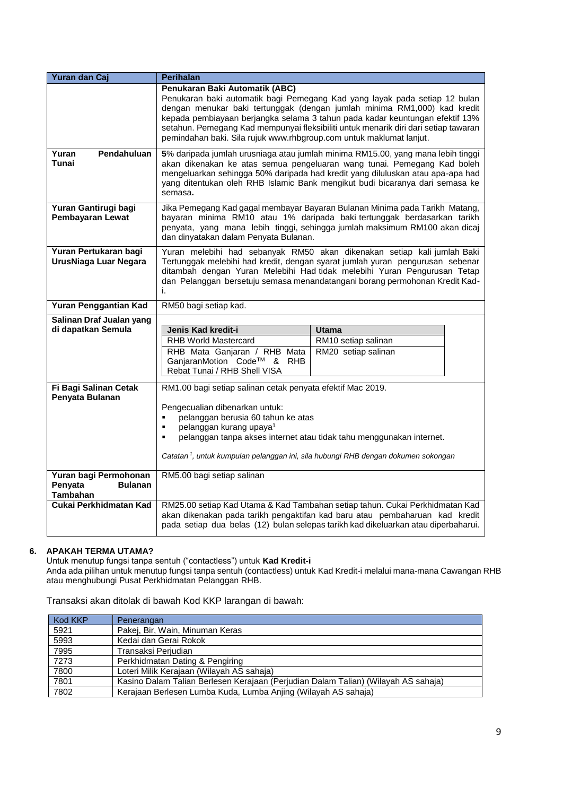| <b>Yuran dan Caj</b>                               | <b>Perihalan</b>                                                                                                                                                                                                                                                                                                                                                                                                                       |                                                                                                                                                                                                                                                                                                                              |
|----------------------------------------------------|----------------------------------------------------------------------------------------------------------------------------------------------------------------------------------------------------------------------------------------------------------------------------------------------------------------------------------------------------------------------------------------------------------------------------------------|------------------------------------------------------------------------------------------------------------------------------------------------------------------------------------------------------------------------------------------------------------------------------------------------------------------------------|
|                                                    | Penukaran Baki Automatik (ABC)<br>Penukaran baki automatik bagi Pemegang Kad yang layak pada setiap 12 bulan<br>dengan menukar baki tertunggak (dengan jumlah minima RM1,000) kad kredit<br>kepada pembiayaan berjangka selama 3 tahun pada kadar keuntungan efektif 13%<br>setahun. Pemegang Kad mempunyai fleksibiliti untuk menarik diri dari setiap tawaran<br>pemindahan baki. Sila rujuk www.rhbgroup.com untuk maklumat lanjut. |                                                                                                                                                                                                                                                                                                                              |
| Pendahuluan<br>Yuran<br>Tunai                      | semasa.                                                                                                                                                                                                                                                                                                                                                                                                                                | 5% daripada jumlah urusniaga atau jumlah minima RM15.00, yang mana lebih tinggi<br>akan dikenakan ke atas semua pengeluaran wang tunai. Pemegang Kad boleh<br>mengeluarkan sehingga 50% daripada had kredit yang diluluskan atau apa-apa had<br>yang ditentukan oleh RHB Islamic Bank mengikut budi bicaranya dari semasa ke |
| Yuran Gantirugi bagi<br>Pembayaran Lewat           | Jika Pemegang Kad gagal membayar Bayaran Bulanan Minima pada Tarikh Matang,<br>bayaran minima RM10 atau 1% daripada baki tertunggak berdasarkan tarikh<br>penyata, yang mana lebih tinggi, sehingga jumlah maksimum RM100 akan dicaj<br>dan dinyatakan dalam Penyata Bulanan.                                                                                                                                                          |                                                                                                                                                                                                                                                                                                                              |
| Yuran Pertukaran bagi<br>UrusNiaga Luar Negara     | Yuran melebihi had sebanyak RM50 akan dikenakan setiap kali jumlah Baki<br>Tertunggak melebihi had kredit, dengan syarat jumlah yuran pengurusan sebenar<br>ditambah dengan Yuran Melebihi Had tidak melebihi Yuran Pengurusan Tetap<br>dan Pelanggan bersetuju semasa menandatangani borang permohonan Kredit Kad-<br>i.                                                                                                              |                                                                                                                                                                                                                                                                                                                              |
| <b>Yuran Penggantian Kad</b>                       | RM50 bagi setiap kad.                                                                                                                                                                                                                                                                                                                                                                                                                  |                                                                                                                                                                                                                                                                                                                              |
| Salinan Draf Jualan yang<br>di dapatkan Semula     | Jenis Kad kredit-i<br><b>RHB World Mastercard</b><br>RHB Mata Ganjaran / RHB Mata<br>GanjaranMotion Code™ & RHB<br>Rebat Tunai / RHB Shell VISA                                                                                                                                                                                                                                                                                        | <b>Utama</b><br>RM10 setiap salinan<br>RM20 setiap salinan                                                                                                                                                                                                                                                                   |
| Fi Bagi Salinan Cetak<br>Penyata Bulanan           | RM1.00 bagi setiap salinan cetak penyata efektif Mac 2019.<br>Pengecualian dibenarkan untuk:<br>pelanggan berusia 60 tahun ke atas<br>٠<br>$\blacksquare$<br>pelanggan kurang upaya <sup>1</sup><br>pelanggan tanpa akses internet atau tidak tahu menggunakan internet.<br>п<br>Catatan <sup>1</sup> , untuk kumpulan pelanggan ini, sila hubungi RHB dengan dokumen sokongan                                                         |                                                                                                                                                                                                                                                                                                                              |
| Yuran bagi Permohonan<br>Penyata<br><b>Bulanan</b> | RM5.00 bagi setiap salinan                                                                                                                                                                                                                                                                                                                                                                                                             |                                                                                                                                                                                                                                                                                                                              |
| <b>Tambahan</b><br>Cukai Perkhidmatan Kad          | RM25.00 setiap Kad Utama & Kad Tambahan setiap tahun. Cukai Perkhidmatan Kad<br>akan dikenakan pada tarikh pengaktifan kad baru atau pembaharuan kad kredit<br>pada setiap dua belas (12) bulan selepas tarikh kad dikeluarkan atau diperbaharui.                                                                                                                                                                                      |                                                                                                                                                                                                                                                                                                                              |

# **6. APAKAH TERMA UTAMA?**

Untuk menutup fungsi tanpa sentuh ("contactless") untuk **Kad Kredit-i** Anda ada pilihan untuk menutup fungsi tanpa sentuh (contactless) untuk Kad Kredit-i melalui mana-mana Cawangan RHB atau menghubungi Pusat Perkhidmatan Pelanggan RHB.

Transaksi akan ditolak di bawah Kod KKP larangan di bawah:

| Kod KKP | Penerangan                                                                         |
|---------|------------------------------------------------------------------------------------|
| 5921    | Pakej, Bir, Wain, Minuman Keras                                                    |
| 5993    | Kedai dan Gerai Rokok                                                              |
| 7995    | Transaksi Periudian                                                                |
| 7273    | Perkhidmatan Dating & Pengiring                                                    |
| 7800    | Loteri Milik Kerajaan (Wilayah AS sahaja)                                          |
| 7801    | Kasino Dalam Talian Berlesen Kerajaan (Perjudian Dalam Talian) (Wilayah AS sahaja) |
| 7802    | Kerajaan Berlesen Lumba Kuda, Lumba Anjing (Wilayah AS sahaja)                     |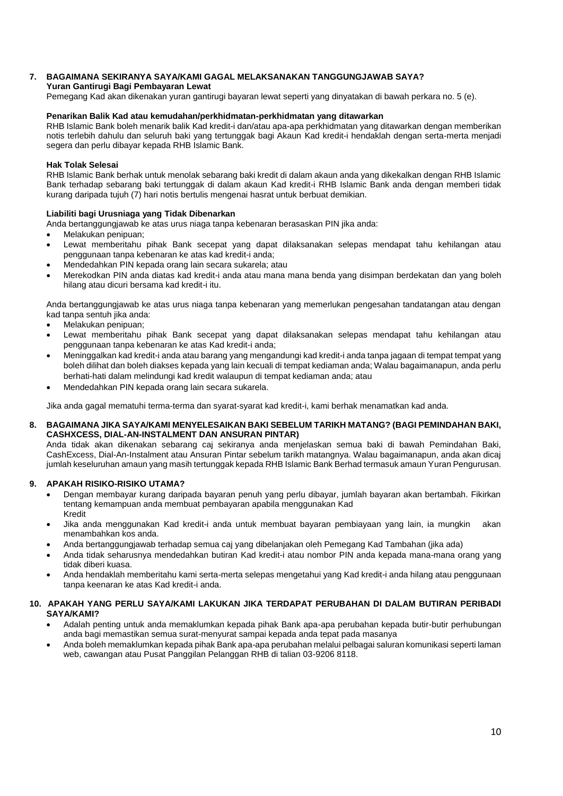### **7. BAGAIMANA SEKIRANYA SAYA/KAMI GAGAL MELAKSANAKAN TANGGUNGJAWAB SAYA?**

### **Yuran Gantirugi Bagi Pembayaran Lewat**

Pemegang Kad akan dikenakan yuran gantirugi bayaran lewat seperti yang dinyatakan di bawah perkara no. 5 (e).

### **Penarikan Balik Kad atau kemudahan/perkhidmatan-perkhidmatan yang ditawarkan**

RHB Islamic Bank boleh menarik balik Kad kredit-i dan/atau apa-apa perkhidmatan yang ditawarkan dengan memberikan notis terlebih dahulu dan seluruh baki yang tertunggak bagi Akaun Kad kredit-i hendaklah dengan serta-merta menjadi segera dan perlu dibayar kepada RHB Islamic Bank.

#### **Hak Tolak Selesai**

RHB Islamic Bank berhak untuk menolak sebarang baki kredit di dalam akaun anda yang dikekalkan dengan RHB Islamic Bank terhadap sebarang baki tertunggak di dalam akaun Kad kredit-i RHB Islamic Bank anda dengan memberi tidak kurang daripada tujuh (7) hari notis bertulis mengenai hasrat untuk berbuat demikian.

### **Liabiliti bagi Urusniaga yang Tidak Dibenarkan**

Anda bertanggungjawab ke atas urus niaga tanpa kebenaran berasaskan PIN jika anda:

- Melakukan penipuan;
- Lewat memberitahu pihak Bank secepat yang dapat dilaksanakan selepas mendapat tahu kehilangan atau penggunaan tanpa kebenaran ke atas kad kredit-i anda;
- Mendedahkan PIN kepada orang lain secara sukarela; atau
- Merekodkan PIN anda diatas kad kredit-i anda atau mana mana benda yang disimpan berdekatan dan yang boleh hilang atau dicuri bersama kad kredit-i itu.

Anda bertanggungjawab ke atas urus niaga tanpa kebenaran yang memerlukan pengesahan tandatangan atau dengan kad tanpa sentuh jika anda:

- Melakukan penipuan;
- Lewat memberitahu pihak Bank secepat yang dapat dilaksanakan selepas mendapat tahu kehilangan atau penggunaan tanpa kebenaran ke atas Kad kredit-i anda;
- Meninggalkan kad kredit-i anda atau barang yang mengandungi kad kredit-i anda tanpa jagaan di tempat tempat yang boleh dilihat dan boleh diakses kepada yang lain kecuali di tempat kediaman anda; Walau bagaimanapun, anda perlu berhati-hati dalam melindungi kad kredit walaupun di tempat kediaman anda; atau
- Mendedahkan PIN kepada orang lain secara sukarela.

Jika anda gagal mematuhi terma-terma dan syarat-syarat kad kredit-i, kami berhak menamatkan kad anda.

### **8. BAGAIMANA JIKA SAYA/KAMI MENYELESAIKAN BAKI SEBELUM TARIKH MATANG? (BAGI PEMINDAHAN BAKI, CASHXCESS, DIAL-AN-INSTALMENT DAN ANSURAN PINTAR)**

Anda tidak akan dikenakan sebarang caj sekiranya anda menjelaskan semua baki di bawah Pemindahan Baki, CashExcess, Dial-An-Instalment atau Ansuran Pintar sebelum tarikh matangnya. Walau bagaimanapun, anda akan dicaj jumlah keseluruhan amaun yang masih tertunggak kepada RHB Islamic Bank Berhad termasuk amaun Yuran Pengurusan.

### **9. APAKAH RISIKO-RISIKO UTAMA?**

- Dengan membayar kurang daripada bayaran penuh yang perlu dibayar, jumlah bayaran akan bertambah. Fikirkan tentang kemampuan anda membuat pembayaran apabila menggunakan Kad Kredit
- Jika anda menggunakan Kad kredit-i anda untuk membuat bayaran pembiayaan yang lain, ia mungkin akan menambahkan kos anda.
- Anda bertanggungjawab terhadap semua caj yang dibelanjakan oleh Pemegang Kad Tambahan (jika ada)
- Anda tidak seharusnya mendedahkan butiran Kad kredit-i atau nombor PIN anda kepada mana-mana orang yang tidak diberi kuasa.
- Anda hendaklah memberitahu kami serta-merta selepas mengetahui yang Kad kredit-i anda hilang atau penggunaan tanpa keenaran ke atas Kad kredit-i anda.

### **10. APAKAH YANG PERLU SAYA/KAMI LAKUKAN JIKA TERDAPAT PERUBAHAN DI DALAM BUTIRAN PERIBADI SAYA/KAMI?**

- Adalah penting untuk anda memaklumkan kepada pihak Bank apa-apa perubahan kepada butir-butir perhubungan anda bagi memastikan semua surat-menyurat sampai kepada anda tepat pada masanya
- Anda boleh memaklumkan kepada pihak Bank apa-apa perubahan melalui pelbagai saluran komunikasi seperti laman web, cawangan atau Pusat Panggilan Pelanggan RHB di talian 03-9206 8118.